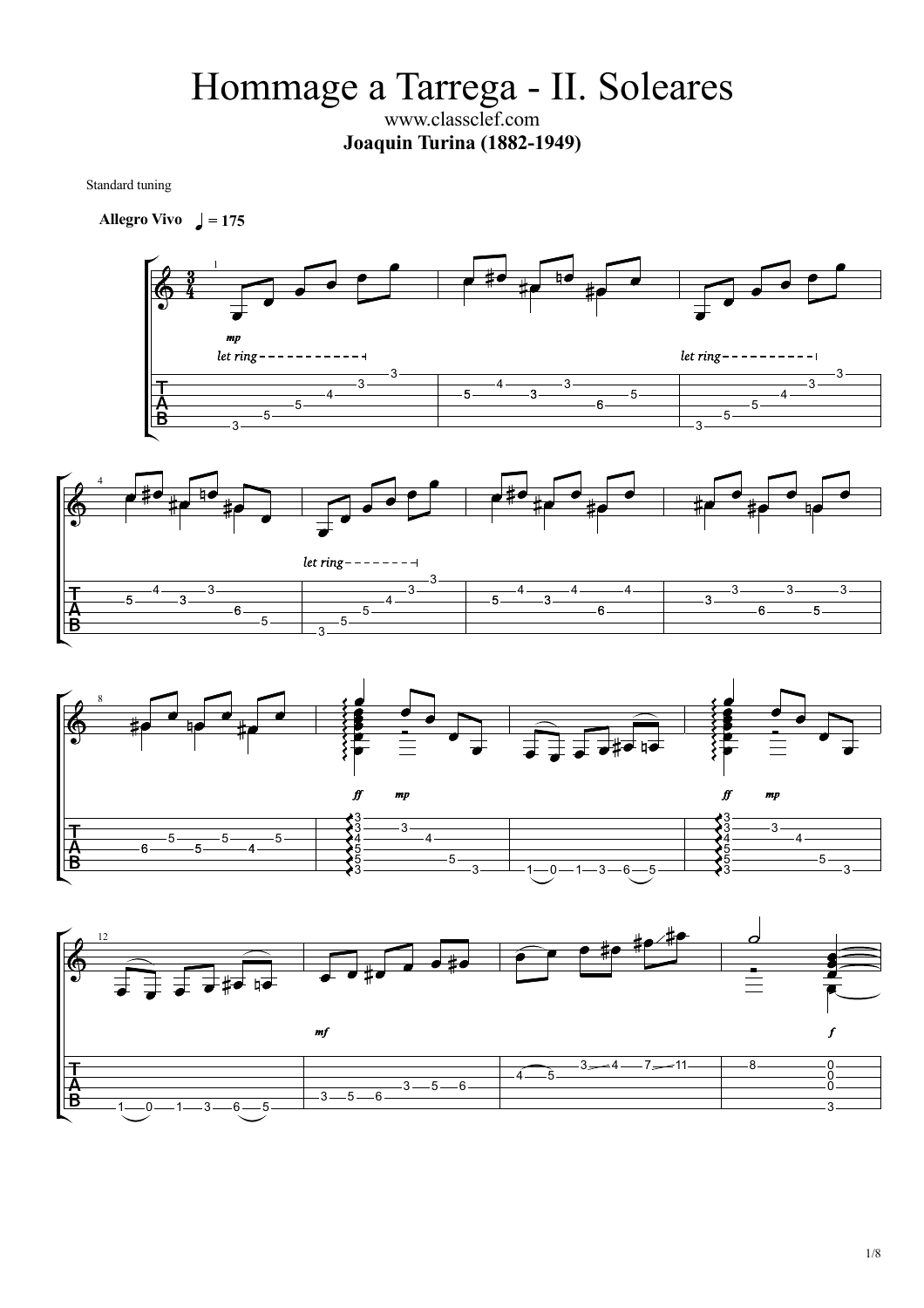## Hommage a Tarrega - II. Soleares

www.classclef.com **Joaquin Turina (1882-1949)**

Standard tuning

**Allegro Vivo**  $=$  **175** 





 $5 - 5$ 

 $3 \overline{\phantom{1}}$  $5 -$ 





1/8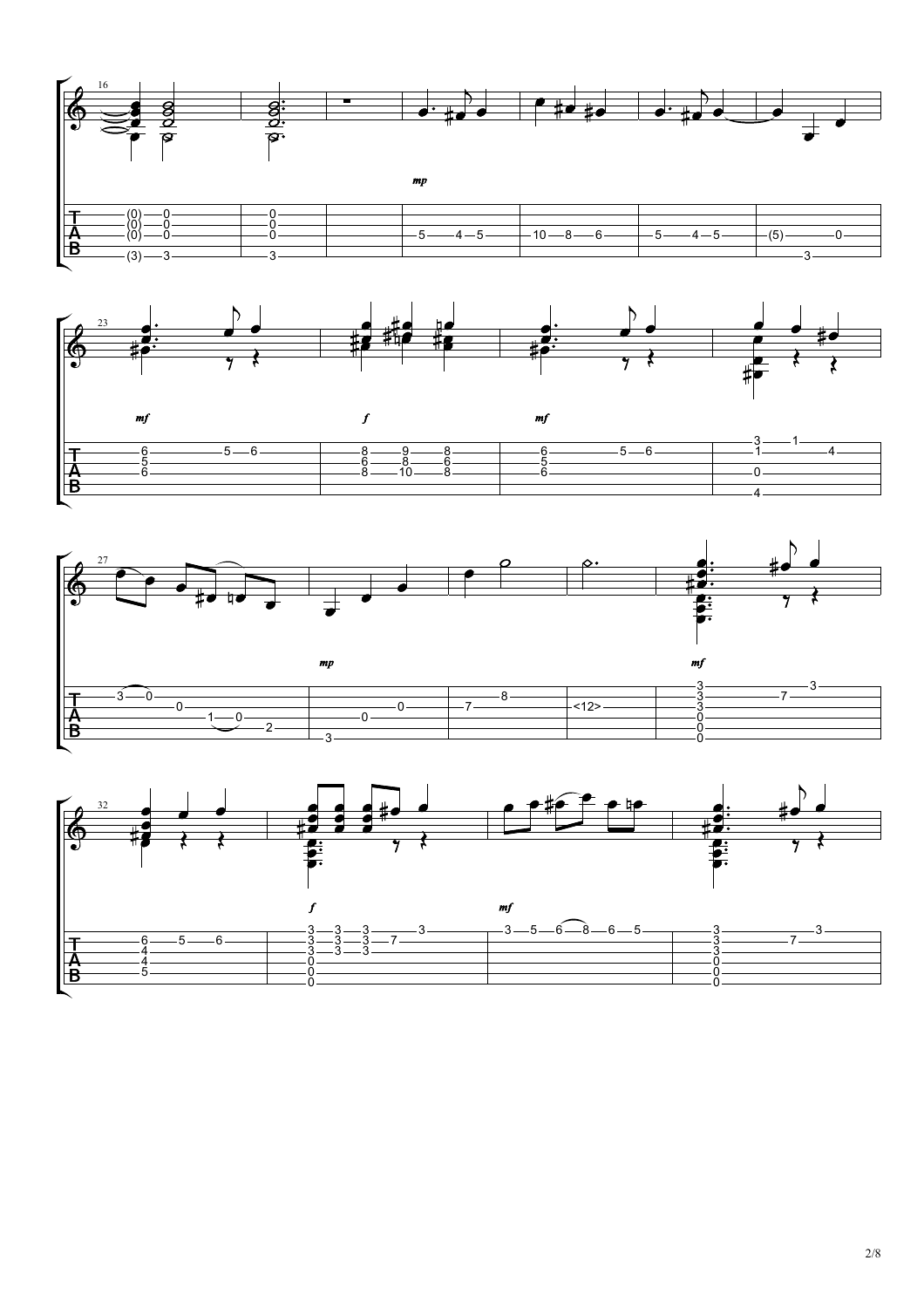





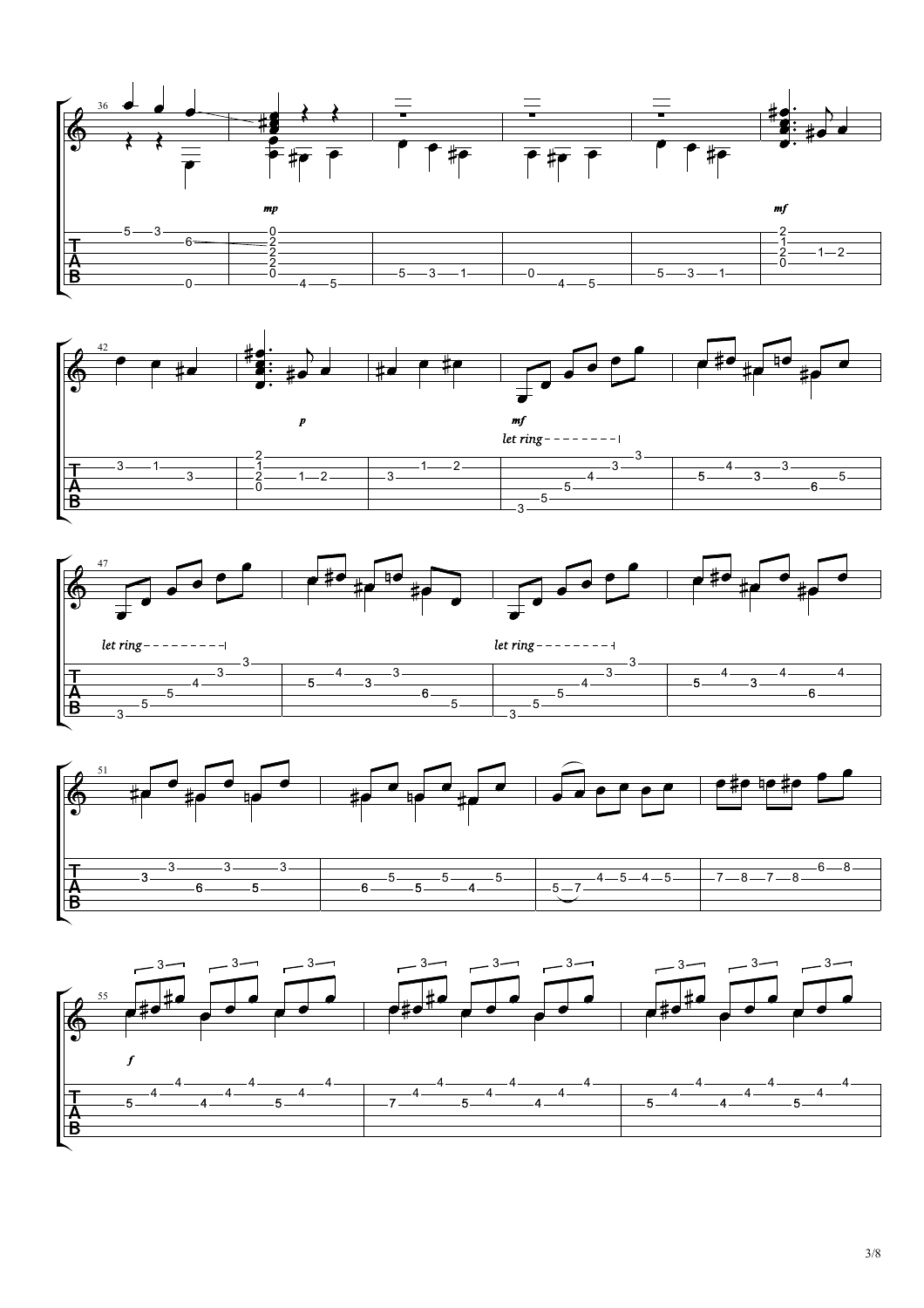







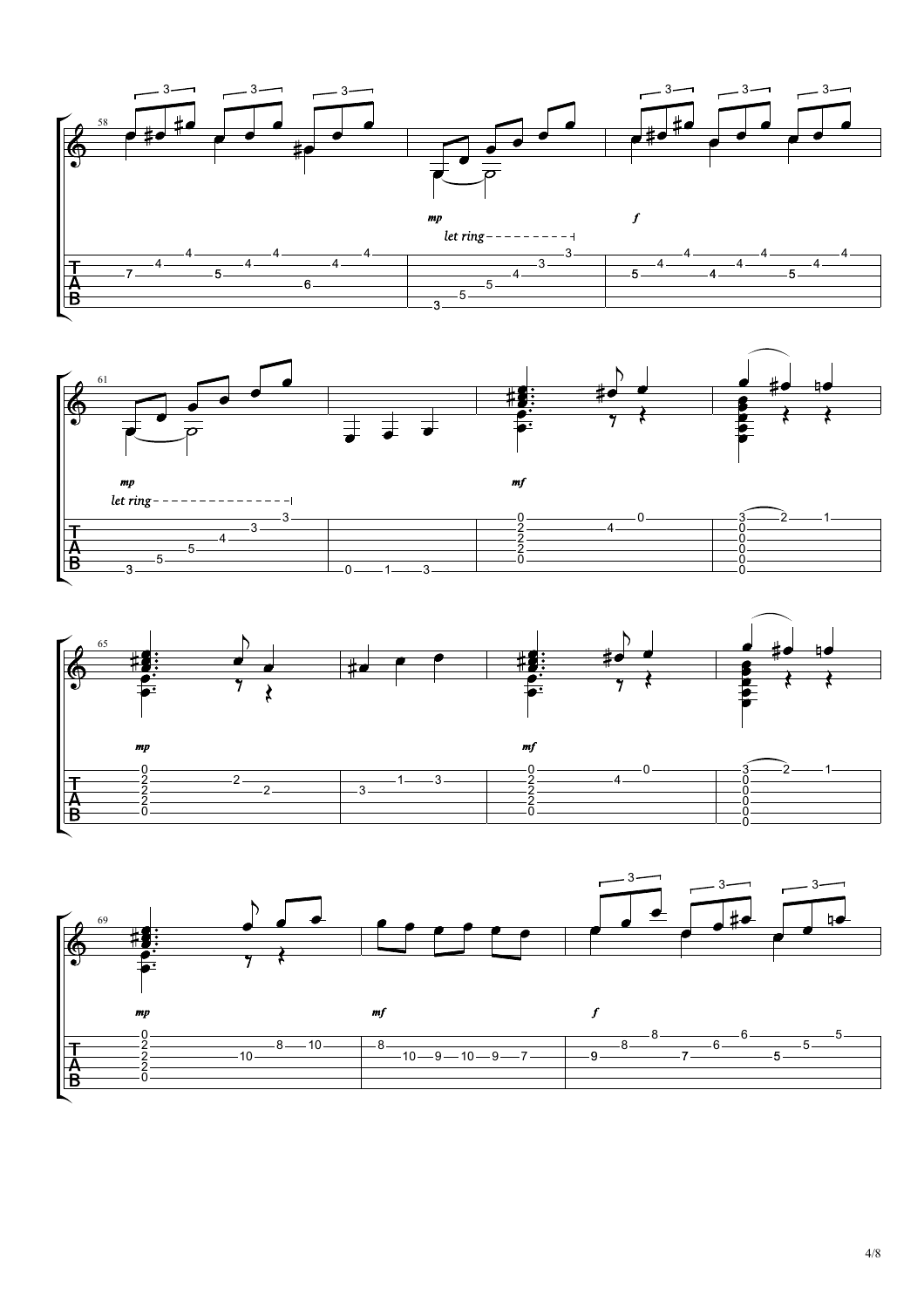



 $0 \longrightarrow 1 \longrightarrow 3 \longrightarrow$ 





 $\overline{0}$   $\overline{\phantom{0}}$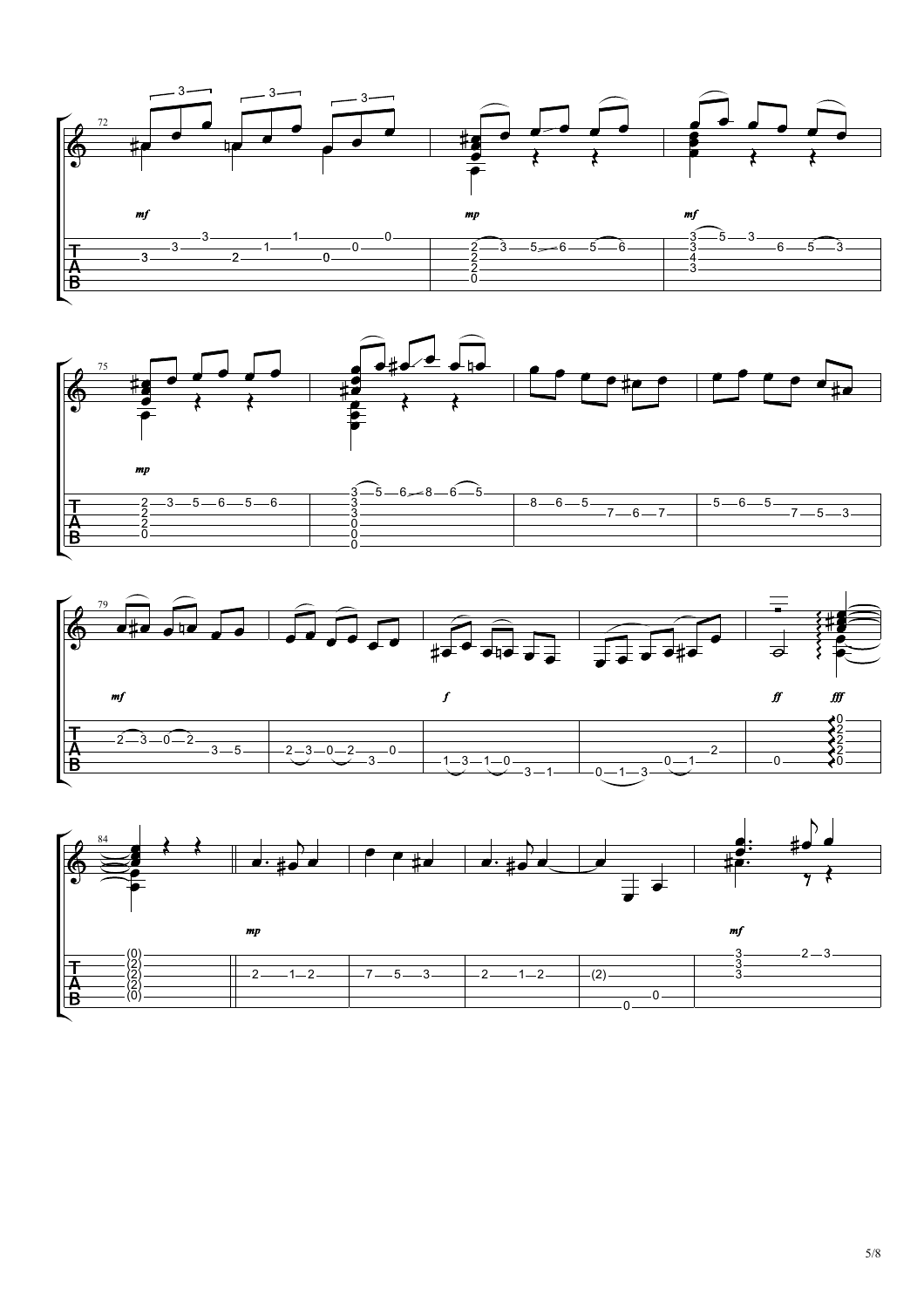





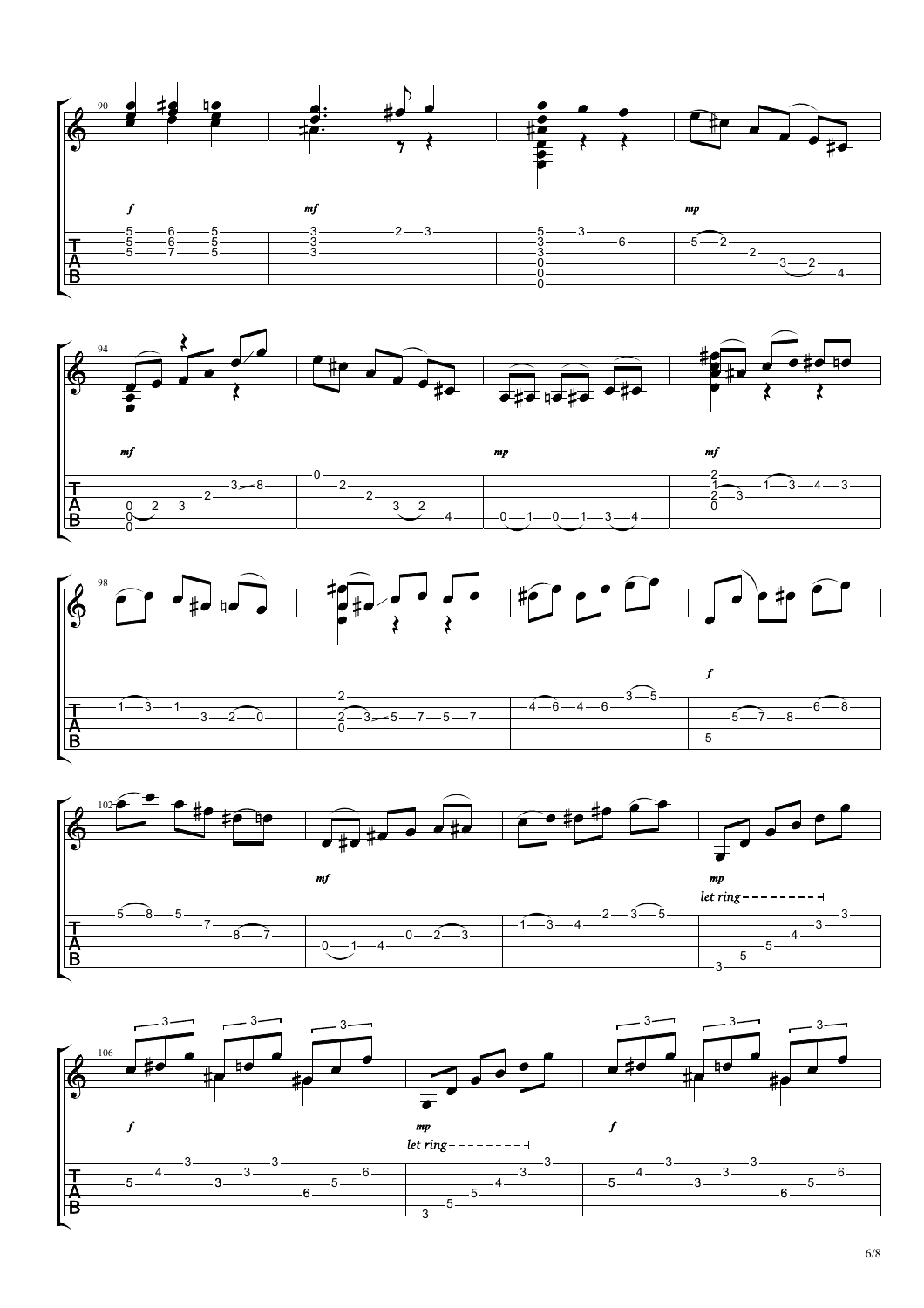







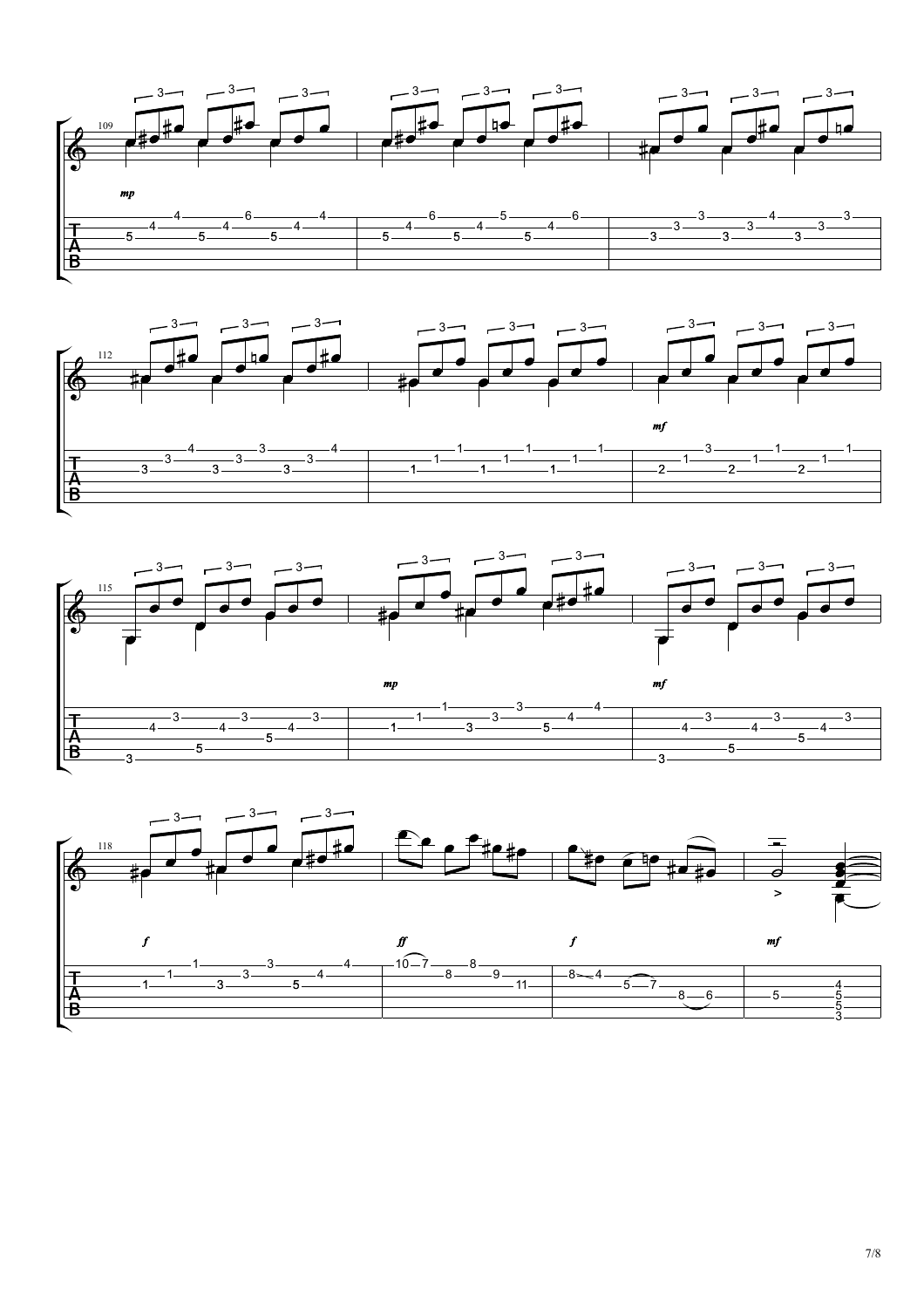